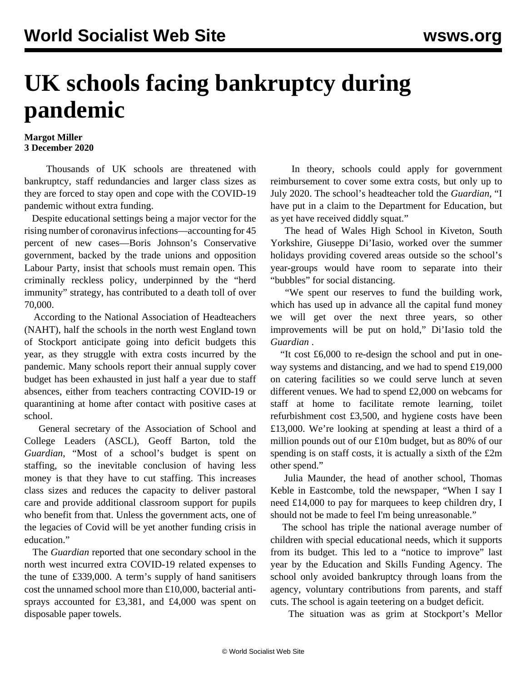## **UK schools facing bankruptcy during pandemic**

## **Margot Miller 3 December 2020**

 Thousands of UK schools are threatened with bankruptcy, staff redundancies and larger class sizes as they are forced to stay open and cope with the COVID-19 pandemic without extra funding.

 Despite educational settings being a major vector for the rising number of coronavirus infections—accounting for 45 percent of new cases—Boris Johnson's Conservative government, backed by the trade unions and opposition Labour Party, insist that schools must remain open. This criminally reckless policy, underpinned by the "herd immunity" strategy, has contributed to a death toll of over 70,000.

 According to the National Association of Headteachers (NAHT), half the schools in the north west England town of Stockport anticipate going into deficit budgets this year, as they struggle with extra costs incurred by the pandemic. Many schools report their annual supply cover budget has been exhausted in just half a year due to staff absences, either from teachers contracting COVID-19 or quarantining at home after contact with positive cases at school.

 General secretary of the Association of School and College Leaders (ASCL), Geoff Barton, told the *Guardian*, "Most of a school's budget is spent on staffing, so the inevitable conclusion of having less money is that they have to cut staffing. This increases class sizes and reduces the capacity to deliver pastoral care and provide additional classroom support for pupils who benefit from that. Unless the government acts, one of the legacies of Covid will be yet another funding crisis in education."

 The *Guardian* reported that one secondary school in the north west incurred extra COVID-19 related expenses to the tune of £339,000. A term's supply of hand sanitisers cost the unnamed school more than £10,000, bacterial antisprays accounted for £3,381, and £4,000 was spent on disposable paper towels.

 In theory, schools could apply for government reimbursement to cover some extra costs, but only up to July 2020. The school's headteacher told the *Guardian*, "I have put in a claim to the Department for Education, but as yet have received diddly squat."

 The head of Wales High School in Kiveton, South Yorkshire, Giuseppe Di'Iasio, worked over the summer holidays providing covered areas outside so the school's year-groups would have room to separate into their "bubbles" for social distancing.

 "We spent our reserves to fund the building work, which has used up in advance all the capital fund money we will get over the next three years, so other improvements will be put on hold," Di'Iasio told the *Guardian* .

 "It cost £6,000 to re-design the school and put in oneway systems and distancing, and we had to spend £19,000 on catering facilities so we could serve lunch at seven different venues. We had to spend £2,000 on webcams for staff at home to facilitate remote learning, toilet refurbishment cost £3,500, and hygiene costs have been £13,000. We're looking at spending at least a third of a million pounds out of our £10m budget, but as 80% of our spending is on staff costs, it is actually a sixth of the £2m other spend."

 Julia Maunder, the head of another school, Thomas Keble in Eastcombe, told the newspaper, "When I say I need £14,000 to pay for marquees to keep children dry, I should not be made to feel I'm being unreasonable."

 The school has triple the national average number of children with special educational needs, which it supports from its budget. This led to a "notice to improve" last year by the Education and Skills Funding Agency. The school only avoided bankruptcy through loans from the agency, voluntary contributions from parents, and staff cuts. The school is again teetering on a budget deficit.

The situation was as grim at Stockport's Mellor